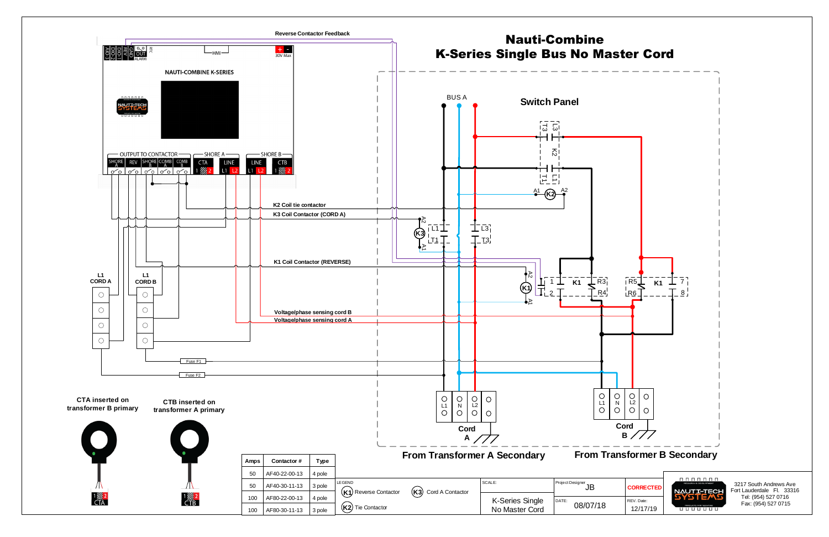3217 South Andrews Ave Fort Lauderdale Fl. 33316 Tel: (954) 527 0716 Fax: (954) 527 0715